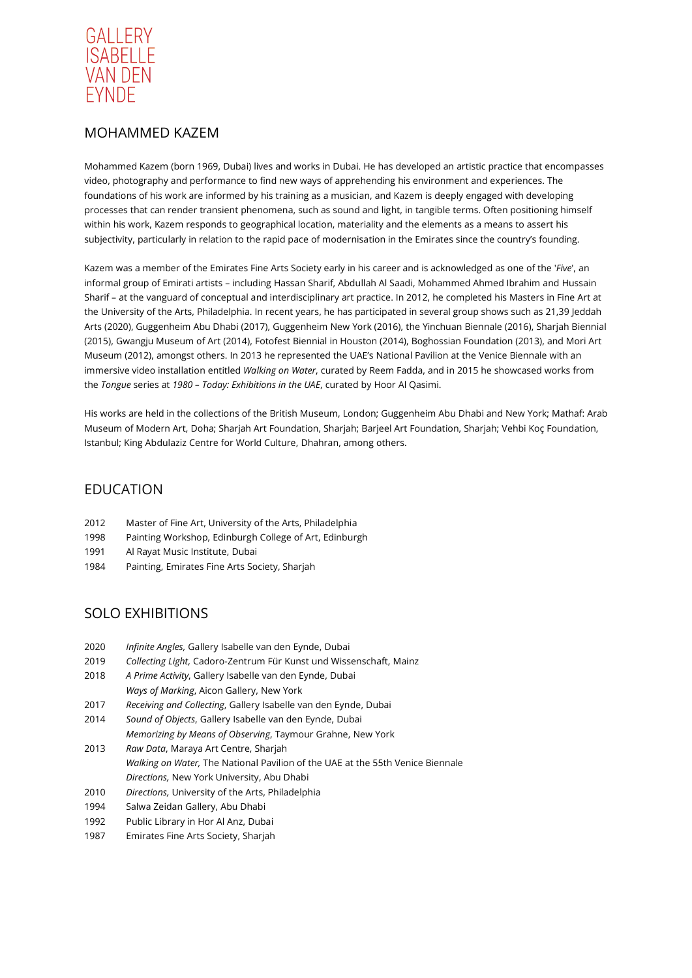

# MOHAMMED KAZEM

Mohammed Kazem (born 1969, Dubai) lives and works in Dubai. He has developed an artistic practice that encompasses video, photography and performance to find new ways of apprehending his environment and experiences. The foundations of his work are informed by his training as a musician, and Kazem is deeply engaged with developing processes that can render transient phenomena, such as sound and light, in tangible terms. Often positioning himself within his work, Kazem responds to geographical location, materiality and the elements as a means to assert his subjectivity, particularly in relation to the rapid pace of modernisation in the Emirates since the country's founding.

Kazem was a member of the Emirates Fine Arts Society early in his career and is acknowledged as one of the '*Five*', an informal group of Emirati artists – including Hassan Sharif, Abdullah Al Saadi, Mohammed Ahmed Ibrahim and Hussain Sharif – at the vanguard of conceptual and interdisciplinary art practice. In 2012, he completed his Masters in Fine Art at the University of the Arts, Philadelphia. In recent years, he has participated in several group shows such as 21,39 Jeddah Arts (2020), Guggenheim Abu Dhabi (2017), Guggenheim New York (2016), the Yinchuan Biennale (2016), Sharjah Biennial (2015), Gwangju Museum of Art (2014), Fotofest Biennial in Houston (2014), Boghossian Foundation (2013), and Mori Art Museum (2012), amongst others. In 2013 he represented the UAE's National Pavilion at the Venice Biennale with an immersive video installation entitled *Walking on Water*, curated by Reem Fadda, and in 2015 he showcased works from the *Tongue* series at *1980 – Today: Exhibitions in the UAE*, curated by Hoor Al Qasimi.

His works are held in the collections of the British Museum, London; Guggenheim Abu Dhabi and New York; Mathaf: Arab Museum of Modern Art, Doha; Sharjah Art Foundation, Sharjah; Barjeel Art Foundation, Sharjah; Vehbi Koç Foundation, Istanbul; King Abdulaziz Centre for World Culture, Dhahran, among others.

#### EDUCATION

- 2012 Master of Fine Art, University of the Arts, Philadelphia
- 1998 Painting Workshop, Edinburgh College of Art, Edinburgh
- 1991 Al Rayat Music Institute, Dubai
- 1984 Painting, Emirates Fine Arts Society, Sharjah

# SOLO EXHIBITIONS

- 2020 *Infinite Angles,* Gallery Isabelle van den Eynde, Dubai
- 2019 *Collecting Light,* Cadoro-Zentrum Für Kunst und Wissenschaft, Mainz
- 2018 *A Prime Activity*, Gallery Isabelle van den Eynde, Dubai *Ways of Marking*, Aicon Gallery, New York
- 2017 *Receiving and Collecting*, Gallery Isabelle van den Eynde, Dubai
- 2014 *Sound of Objects*, Gallery Isabelle van den Eynde, Dubai
- *Memorizing by Means of Observing*, Taymour Grahne, New York
- 2013 *Raw Data*, Maraya Art Centre, Sharjah *Walking on Water,* The National Pavilion of the UAE at the 55th Venice Biennale *Directions,* New York University, Abu Dhabi
- 2010 *Directions,* University of the Arts, Philadelphia
- 1994 Salwa Zeidan Gallery, Abu Dhabi
- 1992 Public Library in Hor Al Anz, Dubai
- 1987 Emirates Fine Arts Society, Sharjah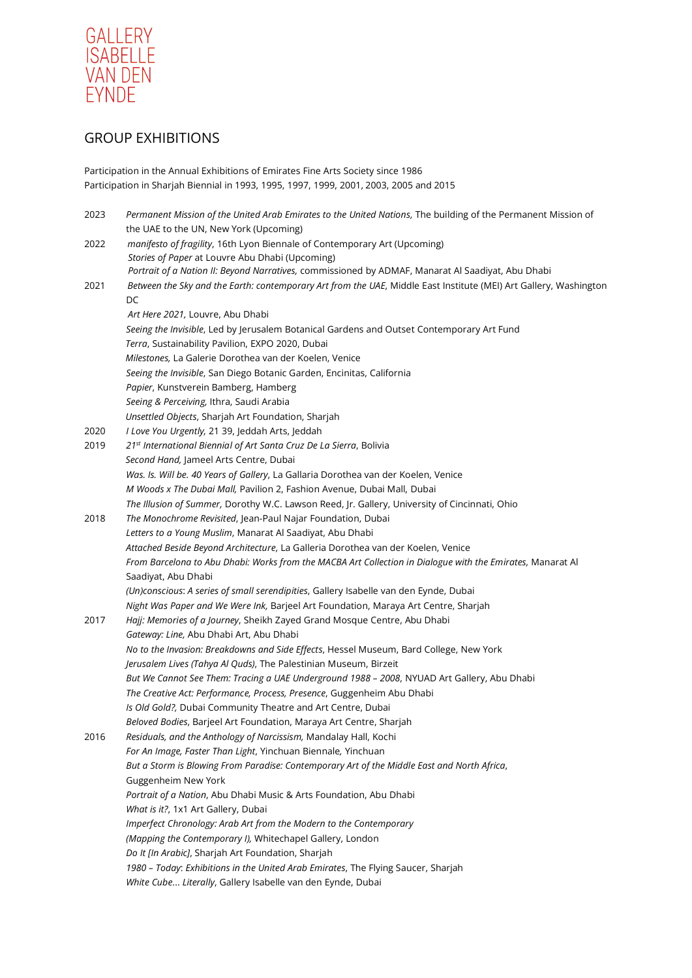

# GROUP EXHIBITIONS

Participation in the Annual Exhibitions of Emirates Fine Arts Society since 1986 Participation in Sharjah Biennial in 1993, 1995, 1997, 1999, 2001, 2003, 2005 and 2015

| 2023 | Permanent Mission of the United Arab Emirates to the United Nations, The building of the Permanent Mission of     |
|------|-------------------------------------------------------------------------------------------------------------------|
|      | the UAE to the UN, New York (Upcoming)                                                                            |
| 2022 | manifesto of fragility, 16th Lyon Biennale of Contemporary Art (Upcoming)                                         |
|      | Stories of Paper at Louvre Abu Dhabi (Upcoming)                                                                   |
|      | Portrait of a Nation II: Beyond Narratives, commissioned by ADMAF, Manarat Al Saadiyat, Abu Dhabi                 |
| 2021 | Between the Sky and the Earth: contemporary Art from the UAE, Middle East Institute (MEI) Art Gallery, Washington |
|      | DC                                                                                                                |
|      | Art Here 2021, Louvre, Abu Dhabi                                                                                  |
|      | Seeing the Invisible, Led by Jerusalem Botanical Gardens and Outset Contemporary Art Fund                         |
|      | Terra, Sustainability Pavilion, EXPO 2020, Dubai                                                                  |
|      | Milestones, La Galerie Dorothea van der Koelen, Venice                                                            |
|      | Seeing the Invisible, San Diego Botanic Garden, Encinitas, California                                             |
|      | Papier, Kunstverein Bamberg, Hamberg                                                                              |
|      | Seeing & Perceiving, Ithra, Saudi Arabia                                                                          |
|      | Unsettled Objects, Sharjah Art Foundation, Sharjah                                                                |
| 2020 | I Love You Urgently, 21 39, Jeddah Arts, Jeddah                                                                   |
| 2019 | 21 <sup>st</sup> International Biennial of Art Santa Cruz De La Sierra, Bolivia                                   |
|      | Second Hand, Jameel Arts Centre, Dubai                                                                            |
|      | Was. Is. Will be. 40 Years of Gallery, La Gallaria Dorothea van der Koelen, Venice                                |
|      | M Woods x The Dubai Mall, Pavilion 2, Fashion Avenue, Dubai Mall, Dubai                                           |
|      | The Illusion of Summer, Dorothy W.C. Lawson Reed, Jr. Gallery, University of Cincinnati, Ohio                     |
| 2018 | The Monochrome Revisited, Jean-Paul Najar Foundation, Dubai                                                       |
|      | Letters to a Young Muslim, Manarat Al Saadiyat, Abu Dhabi                                                         |
|      | Attached Beside Beyond Architecture, La Galleria Dorothea van der Koelen, Venice                                  |
|      | From Barcelona to Abu Dhabi: Works from the MACBA Art Collection in Dialogue with the Emirates, Manarat Al        |
|      | Saadiyat, Abu Dhabi                                                                                               |
|      | (Un)conscious: A series of small serendipities, Gallery Isabelle van den Eynde, Dubai                             |
|      | Night Was Paper and We Were Ink, Barjeel Art Foundation, Maraya Art Centre, Sharjah                               |
| 2017 | Hajj: Memories of a Journey, Sheikh Zayed Grand Mosque Centre, Abu Dhabi                                          |
|      | Gateway: Line, Abu Dhabi Art, Abu Dhabi                                                                           |
|      | No to the Invasion: Breakdowns and Side Effects, Hessel Museum, Bard College, New York                            |
|      | Jerusalem Lives (Tahya Al Quds), The Palestinian Museum, Birzeit                                                  |
|      | But We Cannot See Them: Tracing a UAE Underground 1988 - 2008, NYUAD Art Gallery, Abu Dhabi                       |
|      | The Creative Act: Performance, Process, Presence, Guggenheim Abu Dhabi                                            |
|      | Is Old Gold?, Dubai Community Theatre and Art Centre, Dubai                                                       |
|      | Beloved Bodies, Barjeel Art Foundation, Maraya Art Centre, Sharjah                                                |
| 2016 | Residuals, and the Anthology of Narcissism, Mandalay Hall, Kochi                                                  |
|      | For An Image, Faster Than Light, Yinchuan Biennale, Yinchuan                                                      |
|      | But a Storm is Blowing From Paradise: Contemporary Art of the Middle East and North Africa,                       |
|      | Guggenheim New York                                                                                               |
|      | Portrait of a Nation, Abu Dhabi Music & Arts Foundation, Abu Dhabi                                                |
|      | What is it?, 1x1 Art Gallery, Dubai                                                                               |
|      | Imperfect Chronology: Arab Art from the Modern to the Contemporary                                                |
|      | (Mapping the Contemporary I), Whitechapel Gallery, London                                                         |
|      | Do It [In Arabic], Sharjah Art Foundation, Sharjah                                                                |
|      | 1980 - Today: Exhibitions in the United Arab Emirates, The Flying Saucer, Sharjah                                 |
|      | White Cube Literally, Gallery Isabelle van den Eynde, Dubai                                                       |
|      |                                                                                                                   |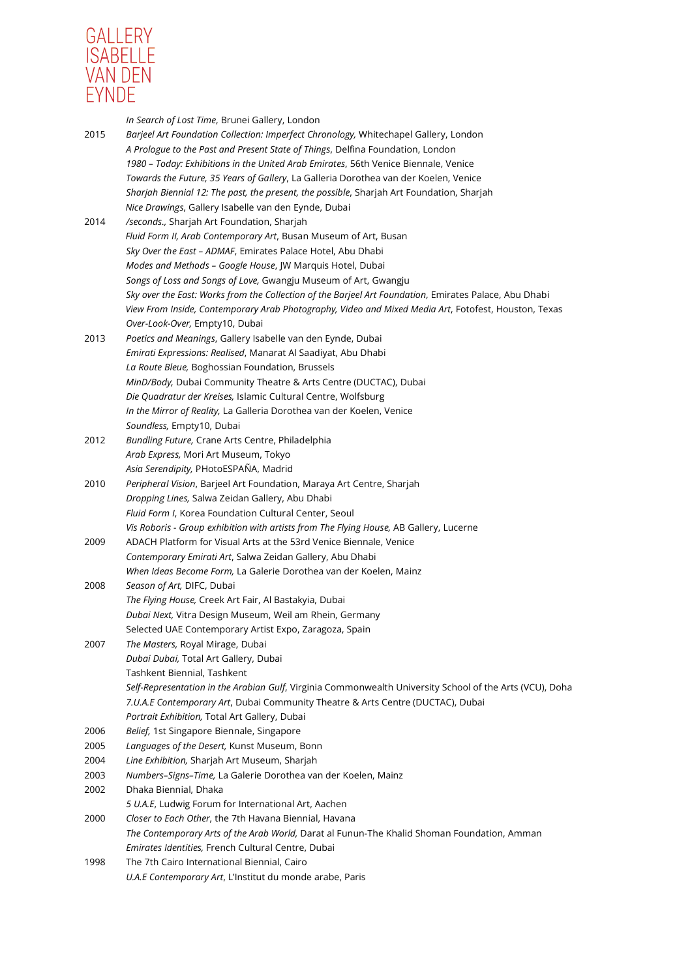

|      | In Search of Lost Time, Brunei Gallery, London                                                                                    |
|------|-----------------------------------------------------------------------------------------------------------------------------------|
| 2015 | Barjeel Art Foundation Collection: Imperfect Chronology, Whitechapel Gallery, London                                              |
|      | A Prologue to the Past and Present State of Things, Delfina Foundation, London                                                    |
|      | 1980 - Today: Exhibitions in the United Arab Emirates, 56th Venice Biennale, Venice                                               |
|      | Towards the Future, 35 Years of Gallery, La Galleria Dorothea van der Koelen, Venice                                              |
|      | Sharjah Biennial 12: The past, the present, the possible, Sharjah Art Foundation, Sharjah                                         |
|      | Nice Drawings, Gallery Isabelle van den Eynde, Dubai                                                                              |
| 2014 | /seconds., Sharjah Art Foundation, Sharjah                                                                                        |
|      | Fluid Form II, Arab Contemporary Art, Busan Museum of Art, Busan                                                                  |
|      | Sky Over the East - ADMAF, Emirates Palace Hotel, Abu Dhabi                                                                       |
|      | Modes and Methods - Google House, JW Marquis Hotel, Dubai<br>Songs of Loss and Songs of Love, Gwangju Museum of Art, Gwangju      |
|      |                                                                                                                                   |
|      | Sky over the East: Works from the Collection of the Barjeel Art Foundation, Emirates Palace, Abu Dhabi                            |
|      | View From Inside, Contemporary Arab Photography, Video and Mixed Media Art, Fotofest, Houston, Texas                              |
|      | Over-Look-Over, Empty10, Dubai                                                                                                    |
| 2013 | Poetics and Meanings, Gallery Isabelle van den Eynde, Dubai                                                                       |
|      | Emirati Expressions: Realised, Manarat Al Saadiyat, Abu Dhabi<br>La Route Bleue, Boghossian Foundation, Brussels                  |
|      |                                                                                                                                   |
|      | MinD/Body, Dubai Community Theatre & Arts Centre (DUCTAC), Dubai<br>Die Quadratur der Kreises, Islamic Cultural Centre, Wolfsburg |
|      | In the Mirror of Reality, La Galleria Dorothea van der Koelen, Venice                                                             |
|      | Soundless, Empty10, Dubai                                                                                                         |
| 2012 | Bundling Future, Crane Arts Centre, Philadelphia                                                                                  |
|      | Arab Express, Mori Art Museum, Tokyo                                                                                              |
|      | Asia Serendipity, PHotoESPAÑA, Madrid                                                                                             |
| 2010 | Peripheral Vision, Barjeel Art Foundation, Maraya Art Centre, Sharjah                                                             |
|      | Dropping Lines, Salwa Zeidan Gallery, Abu Dhabi                                                                                   |
|      | Fluid Form I, Korea Foundation Cultural Center, Seoul                                                                             |
|      | Vis Roboris - Group exhibition with artists from The Flying House, AB Gallery, Lucerne                                            |
| 2009 | ADACH Platform for Visual Arts at the 53rd Venice Biennale, Venice                                                                |
|      | Contemporary Emirati Art, Salwa Zeidan Gallery, Abu Dhabi                                                                         |
|      | When Ideas Become Form, La Galerie Dorothea van der Koelen, Mainz                                                                 |
| 2008 | Season of Art, DIFC, Dubai                                                                                                        |
|      | The Flying House, Creek Art Fair, Al Bastakyia, Dubai                                                                             |
|      | Dubai Next, Vitra Design Museum, Weil am Rhein, Germany                                                                           |
|      | Selected UAE Contemporary Artist Expo, Zaragoza, Spain                                                                            |
| 2007 | The Masters, Royal Mirage, Dubai                                                                                                  |
|      | Dubai Dubai, Total Art Gallery, Dubai                                                                                             |
|      | Tashkent Biennial, Tashkent                                                                                                       |
|      | Self-Representation in the Arabian Gulf, Virginia Commonwealth University School of the Arts (VCU), Doha                          |
|      | 7.U.A.E Contemporary Art, Dubai Community Theatre & Arts Centre (DUCTAC), Dubai                                                   |
|      | Portrait Exhibition, Total Art Gallery, Dubai                                                                                     |
| 2006 | Belief, 1st Singapore Biennale, Singapore                                                                                         |
| 2005 | Languages of the Desert, Kunst Museum, Bonn                                                                                       |
| 2004 | Line Exhibition, Sharjah Art Museum, Sharjah                                                                                      |
| 2003 | Numbers-Signs-Time, La Galerie Dorothea van der Koelen, Mainz                                                                     |
| 2002 | Dhaka Biennial, Dhaka                                                                                                             |
|      | 5 U.A.E, Ludwig Forum for International Art, Aachen                                                                               |
| 2000 | Closer to Each Other, the 7th Havana Biennial, Havana                                                                             |
|      | The Contemporary Arts of the Arab World, Darat al Funun-The Khalid Shoman Foundation, Amman                                       |
|      | Emirates Identities, French Cultural Centre, Dubai                                                                                |
| 1998 | The 7th Cairo International Biennial, Cairo                                                                                       |
|      | U.A.E Contemporary Art, L'Institut du monde arabe, Paris                                                                          |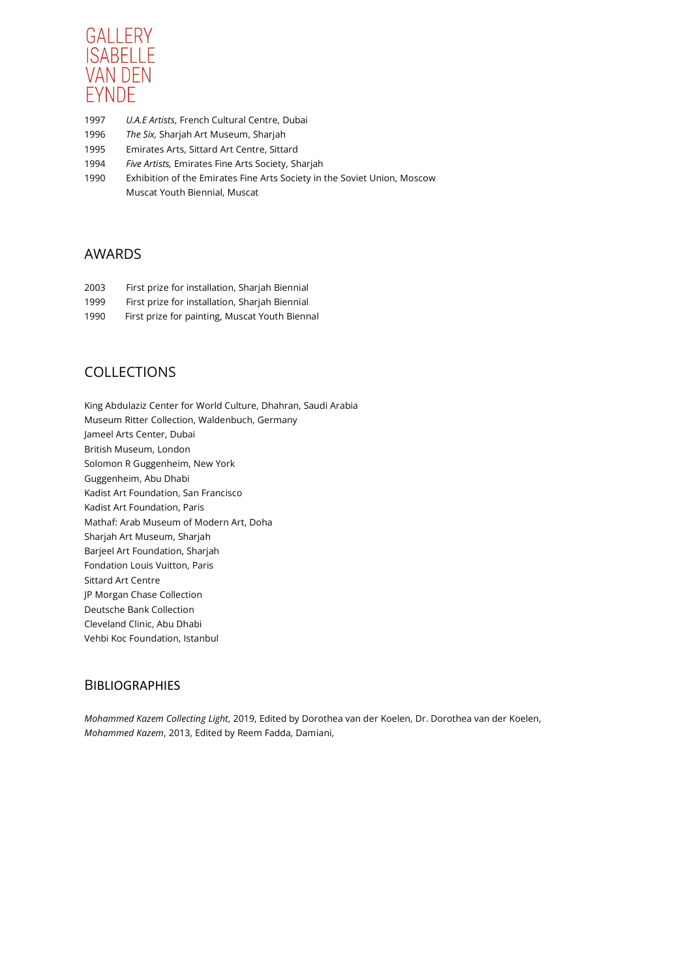

- 1997 *U.A.E Artists*, French Cultural Centre, Dubai
- 1996 *The Six,* Sharjah Art Museum, Sharjah
- 1995 Emirates Arts, Sittard Art Centre, Sittard
- 1994 *Five Artists,* Emirates Fine Arts Society, Sharjah
- 1990 Exhibition of the Emirates Fine Arts Society in the Soviet Union, Moscow Muscat Youth Biennial, Muscat

# AWARDS

- 2003 First prize for installation, Sharjah Biennial
- 1999 First prize for installation, Sharjah Biennial
- 1990 First prize for painting, Muscat Youth Biennal

#### COLLECTIONS

King Abdulaziz Center for World Culture, Dhahran, Saudi Arabia Museum Ritter Collection, Waldenbuch, Germany Jameel Arts Center, Dubai British Museum, London Solomon R Guggenheim, New York Guggenheim, Abu Dhabi Kadist Art Foundation, San Francisco Kadist Art Foundation, Paris Mathaf: Arab Museum of Modern Art, Doha Sharjah Art Museum, Sharjah Barjeel Art Foundation, Sharjah Fondation Louis Vuitton, Paris Sittard Art Centre JP Morgan Chase Collection Deutsche Bank Collection Cleveland Clinic, Abu Dhabi Vehbi Koc Foundation, Istanbul

#### **BIBLIOGRAPHIES**

*Mohammed Kazem Collecting Light,* 2019, Edited by Dorothea van der Koelen, Dr. Dorothea van der Koelen, *Mohammed Kazem*, 2013, Edited by Reem Fadda, Damiani,